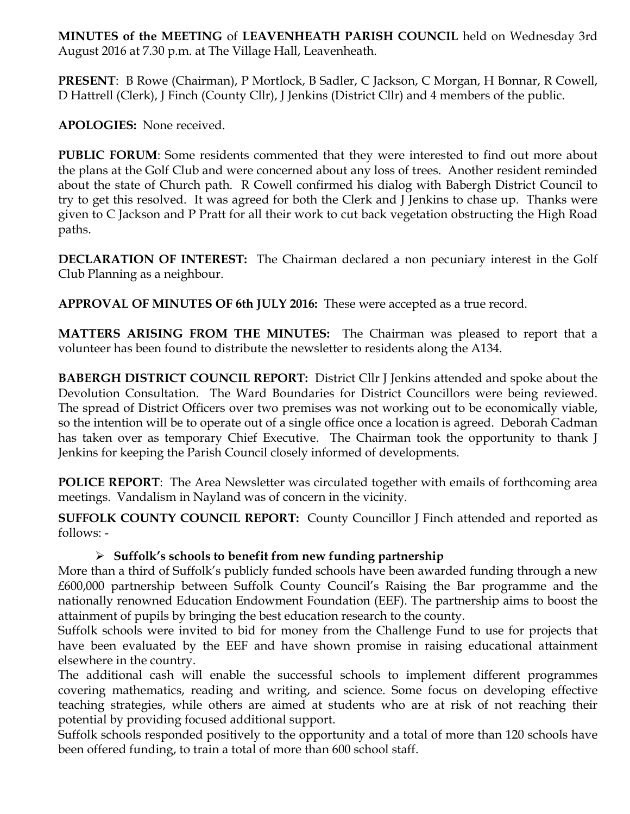**MINUTES of the MEETING** of **LEAVENHEATH PARISH COUNCIL** held on Wednesday 3rd August 2016 at 7.30 p.m. at The Village Hall, Leavenheath.

**PRESENT**: B Rowe (Chairman), P Mortlock, B Sadler, C Jackson, C Morgan, H Bonnar, R Cowell, D Hattrell (Clerk), J Finch (County Cllr), J Jenkins (District Cllr) and 4 members of the public.

**APOLOGIES:** None received.

**PUBLIC FORUM**: Some residents commented that they were interested to find out more about the plans at the Golf Club and were concerned about any loss of trees. Another resident reminded about the state of Church path. R Cowell confirmed his dialog with Babergh District Council to try to get this resolved. It was agreed for both the Clerk and J Jenkins to chase up. Thanks were given to C Jackson and P Pratt for all their work to cut back vegetation obstructing the High Road paths.

**DECLARATION OF INTEREST:** The Chairman declared a non pecuniary interest in the Golf Club Planning as a neighbour.

**APPROVAL OF MINUTES OF 6th JULY 2016:** These were accepted as a true record.

**MATTERS ARISING FROM THE MINUTES:** The Chairman was pleased to report that a volunteer has been found to distribute the newsletter to residents along the A134.

**BABERGH DISTRICT COUNCIL REPORT:** District Cllr J Jenkins attended and spoke about the Devolution Consultation. The Ward Boundaries for District Councillors were being reviewed. The spread of District Officers over two premises was not working out to be economically viable, so the intention will be to operate out of a single office once a location is agreed. Deborah Cadman has taken over as temporary Chief Executive. The Chairman took the opportunity to thank J Jenkins for keeping the Parish Council closely informed of developments.

**POLICE REPORT**: The Area Newsletter was circulated together with emails of forthcoming area meetings. Vandalism in Nayland was of concern in the vicinity.

**SUFFOLK COUNTY COUNCIL REPORT:** County Councillor J Finch attended and reported as follows: -

## Ø **Suffolk's schools to benefit from new funding partnership**

More than a third of Suffolk's publicly funded schools have been awarded funding through a new £600,000 partnership between Suffolk County Council's Raising the Bar programme and the nationally renowned Education Endowment Foundation (EEF). The partnership aims to boost the attainment of pupils by bringing the best education research to the county.

Suffolk schools were invited to bid for money from the Challenge Fund to use for projects that have been evaluated by the EEF and have shown promise in raising educational attainment elsewhere in the country.

The additional cash will enable the successful schools to implement different programmes covering mathematics, reading and writing, and science. Some focus on developing effective teaching strategies, while others are aimed at students who are at risk of not reaching their potential by providing focused additional support.

Suffolk schools responded positively to the opportunity and a total of more than 120 schools have been offered funding, to train a total of more than 600 school staff.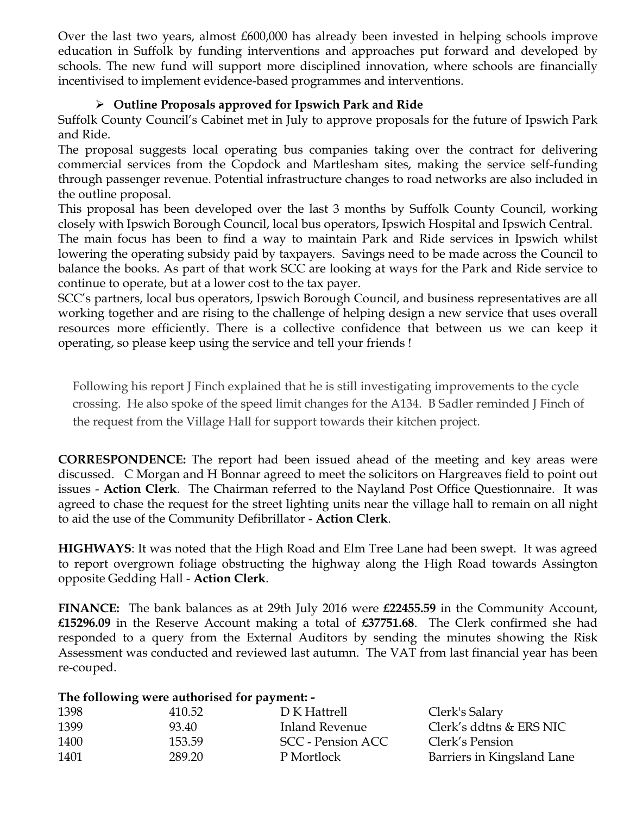Over the last two years, almost £600,000 has already been invested in helping schools improve education in Suffolk by funding interventions and approaches put forward and developed by schools. The new fund will support more disciplined innovation, where schools are financially incentivised to implement evidence-based programmes and interventions.

## Ø **Outline Proposals approved for Ipswich Park and Ride**

Suffolk County Council's Cabinet met in July to approve proposals for the future of Ipswich Park and Ride.

The proposal suggests local operating bus companies taking over the contract for delivering commercial services from the Copdock and Martlesham sites, making the service self-funding through passenger revenue. Potential infrastructure changes to road networks are also included in the outline proposal.

This proposal has been developed over the last 3 months by Suffolk County Council, working closely with Ipswich Borough Council, local bus operators, Ipswich Hospital and Ipswich Central.

The main focus has been to find a way to maintain Park and Ride services in Ipswich whilst lowering the operating subsidy paid by taxpayers. Savings need to be made across the Council to balance the books. As part of that work SCC are looking at ways for the Park and Ride service to continue to operate, but at a lower cost to the tax payer.

SCC's partners, local bus operators, Ipswich Borough Council, and business representatives are all working together and are rising to the challenge of helping design a new service that uses overall resources more efficiently. There is a collective confidence that between us we can keep it operating, so please keep using the service and tell your friends !

Following his report J Finch explained that he is still investigating improvements to the cycle crossing. He also spoke of the speed limit changes for the A134. B Sadler reminded J Finch of the request from the Village Hall for support towards their kitchen project.

**CORRESPONDENCE:** The report had been issued ahead of the meeting and key areas were discussed. C Morgan and H Bonnar agreed to meet the solicitors on Hargreaves field to point out issues - **Action Clerk**. The Chairman referred to the Nayland Post Office Questionnaire. It was agreed to chase the request for the street lighting units near the village hall to remain on all night to aid the use of the Community Defibrillator - **Action Clerk**.

**HIGHWAYS**: It was noted that the High Road and Elm Tree Lane had been swept. It was agreed to report overgrown foliage obstructing the highway along the High Road towards Assington opposite Gedding Hall - **Action Clerk**.

**FINANCE:** The bank balances as at 29th July 2016 were **£22455.59** in the Community Account, **£15296.09** in the Reserve Account making a total of **£37751.68**. The Clerk confirmed she had responded to a query from the External Auditors by sending the minutes showing the Risk Assessment was conducted and reviewed last autumn. The VAT from last financial year has been re-couped.

## **The following were authorised for payment: -**

| 1398 | 410.52 | D K Hattrell      | Clerk's Salary             |
|------|--------|-------------------|----------------------------|
| 1399 | 93.40  | Inland Revenue    | Clerk's ddtns & ERS NIC    |
| 1400 | 153.59 | SCC - Pension ACC | Clerk's Pension            |
| 1401 | 289.20 | P Mortlock        | Barriers in Kingsland Lane |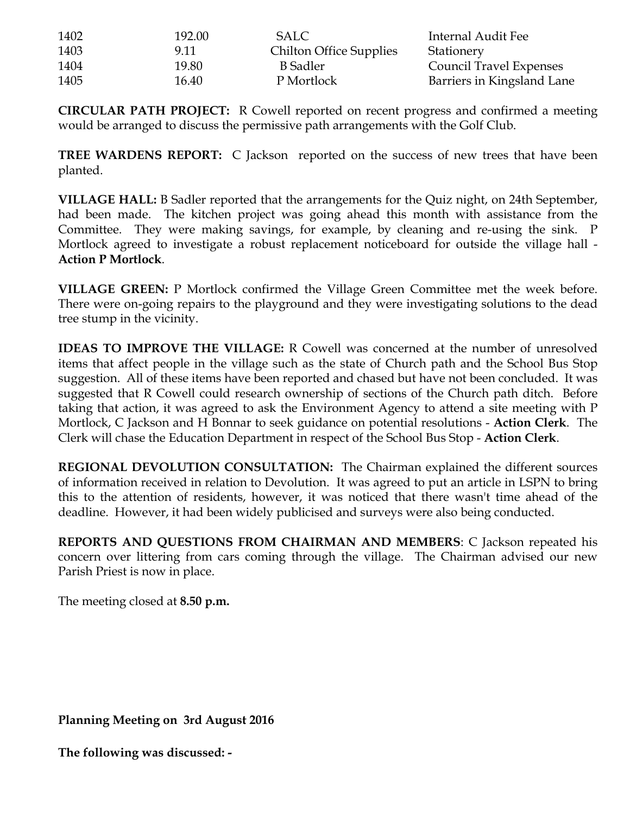| 1402 | 192.00 | <b>SALC</b>                    | Internal Audit Fee             |
|------|--------|--------------------------------|--------------------------------|
| 1403 | 9.11   | <b>Chilton Office Supplies</b> | Stationery                     |
| 1404 | 19.80  | B Sadler                       | <b>Council Travel Expenses</b> |
| 1405 | 16.40  | P Mortlock                     | Barriers in Kingsland Lane     |

**CIRCULAR PATH PROJECT:** R Cowell reported on recent progress and confirmed a meeting would be arranged to discuss the permissive path arrangements with the Golf Club.

**TREE WARDENS REPORT:** C Jackson reported on the success of new trees that have been planted.

**VILLAGE HALL:** B Sadler reported that the arrangements for the Quiz night, on 24th September, had been made. The kitchen project was going ahead this month with assistance from the Committee. They were making savings, for example, by cleaning and re-using the sink. P Mortlock agreed to investigate a robust replacement noticeboard for outside the village hall - **Action P Mortlock**.

**VILLAGE GREEN:** P Mortlock confirmed the Village Green Committee met the week before. There were on-going repairs to the playground and they were investigating solutions to the dead tree stump in the vicinity.

**IDEAS TO IMPROVE THE VILLAGE:** R Cowell was concerned at the number of unresolved items that affect people in the village such as the state of Church path and the School Bus Stop suggestion. All of these items have been reported and chased but have not been concluded.It was suggested that R Cowell could research ownership of sections of the Church path ditch. Before taking that action, it was agreed to ask the Environment Agency to attend a site meeting with P Mortlock, C Jackson and H Bonnar to seek guidance on potential resolutions - **Action Clerk**. The Clerk will chase the Education Department in respect of the School Bus Stop - **Action Clerk**.

**REGIONAL DEVOLUTION CONSULTATION:** The Chairman explained the different sources of information received in relation to Devolution. It was agreed to put an article in LSPN to bring this to the attention of residents, however, it was noticed that there wasn't time ahead of the deadline. However, it had been widely publicised and surveys were also being conducted.

**REPORTS AND QUESTIONS FROM CHAIRMAN AND MEMBERS**: C Jackson repeated his concern over littering from cars coming through the village. The Chairman advised our new Parish Priest is now in place.

The meeting closed at **8.50 p.m.**

**Planning Meeting on 3rd August 2016**

**The following was discussed: -**